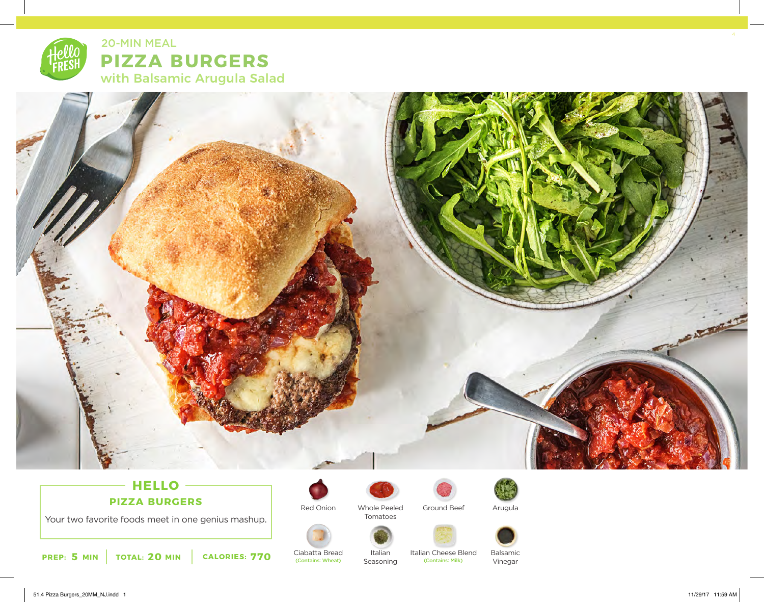



# **HELLO PIZZA BURGERS**

Your two favorite foods meet in one genius mashup.

**5 20 770 PREP: MIN TOTAL: MIN CALORIES:**



Red Onion

Ciabatta Bread

(Contains: Wheat)

Whole Peeled Tomatoes

> Italian Seasoning



Italian Cheese Blend<br>
(Contains: Milk)



Arugula







Vinegar